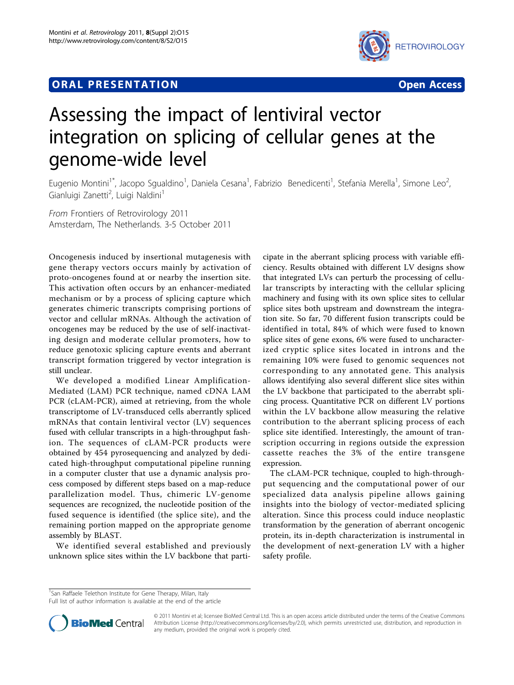## **ORAL PRESENTATION OPEN ACCESS**



## Assessing the impact of lentiviral vector integration on splicing of cellular genes at the genome-wide level

Eugenio Montini<sup>1\*</sup>, Jacopo Sgualdino<sup>1</sup>, Daniela Cesana<sup>1</sup>, Fabrizio Benedicenti<sup>1</sup>, Stefania Merella<sup>1</sup>, Simone Leo<sup>2</sup> , Gianluigi Zanetti<sup>2</sup>, Luigi Naldini<sup>1</sup>

From Frontiers of Retrovirology 2011 Amsterdam, The Netherlands. 3-5 October 2011

Oncogenesis induced by insertional mutagenesis with gene therapy vectors occurs mainly by activation of proto-oncogenes found at or nearby the insertion site. This activation often occurs by an enhancer-mediated mechanism or by a process of splicing capture which generates chimeric transcripts comprising portions of vector and cellular mRNAs. Although the activation of oncogenes may be reduced by the use of self-inactivating design and moderate cellular promoters, how to reduce genotoxic splicing capture events and aberrant transcript formation triggered by vector integration is still unclear.

We developed a modified Linear Amplification-Mediated (LAM) PCR technique, named cDNA LAM PCR (cLAM-PCR), aimed at retrieving, from the whole transcriptome of LV-transduced cells aberrantly spliced mRNAs that contain lentiviral vector (LV) sequences fused with cellular transcripts in a high-throughput fashion. The sequences of cLAM-PCR products were obtained by 454 pyrosequencing and analyzed by dedicated high-throughput computational pipeline running in a computer cluster that use a dynamic analysis process composed by different steps based on a map-reduce parallelization model. Thus, chimeric LV-genome sequences are recognized, the nucleotide position of the fused sequence is identified (the splice site), and the remaining portion mapped on the appropriate genome assembly by BLAST.

We identified several established and previously unknown splice sites within the LV backbone that parti-

cipate in the aberrant splicing process with variable efficiency. Results obtained with different LV designs show that integrated LVs can perturb the processing of cellular transcripts by interacting with the cellular splicing machinery and fusing with its own splice sites to cellular splice sites both upstream and downstream the integration site. So far, 70 different fusion transcripts could be identified in total, 84% of which were fused to known splice sites of gene exons, 6% were fused to uncharacterized cryptic splice sites located in introns and the remaining 10% were fused to genomic sequences not corresponding to any annotated gene. This analysis allows identifying also several different slice sites within the LV backbone that participated to the aberrabt splicing process. Quantitative PCR on different LV portions within the LV backbone allow measuring the relative contribution to the aberrant splicing process of each splice site identified. Interestingly, the amount of transcription occurring in regions outside the expression cassette reaches the 3% of the entire transgene expression.

The cLAM-PCR technique, coupled to high-throughput sequencing and the computational power of our specialized data analysis pipeline allows gaining insights into the biology of vector-mediated splicing alteration. Since this process could induce neoplastic transformation by the generation of aberrant oncogenic protein, its in-depth characterization is instrumental in the development of next-generation LV with a higher safety profile.

Full list of author information is available at the end of the article



© 2011 Montini et al; licensee BioMed Central Ltd. This is an open access article distributed under the terms of the Creative Commons Attribution License [\(http://creativecommons.org/licenses/by/2.0](http://creativecommons.org/licenses/by/2.0)), which permits unrestricted use, distribution, and reproduction in any medium, provided the original work is properly cited.

<sup>&</sup>lt;sup>1</sup>San Raffaele Telethon Institute for Gene Therapy, Milan, Italy